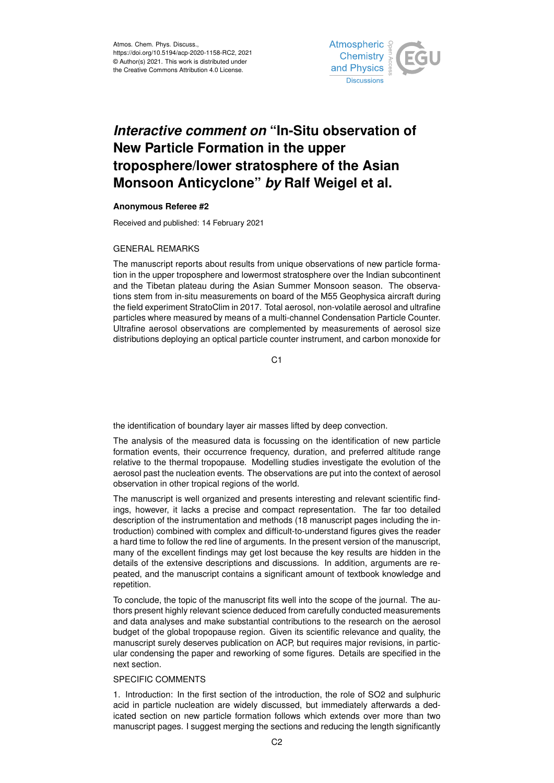

# *Interactive comment on* **"In-Situ observation of New Particle Formation in the upper troposphere/lower stratosphere of the Asian Monsoon Anticyclone"** *by* **Ralf Weigel et al.**

## **Anonymous Referee #2**

Received and published: 14 February 2021

### GENERAL REMARKS

The manuscript reports about results from unique observations of new particle formation in the upper troposphere and lowermost stratosphere over the Indian subcontinent and the Tibetan plateau during the Asian Summer Monsoon season. The observations stem from in-situ measurements on board of the M55 Geophysica aircraft during the field experiment StratoClim in 2017. Total aerosol, non-volatile aerosol and ultrafine particles where measured by means of a multi-channel Condensation Particle Counter. Ultrafine aerosol observations are complemented by measurements of aerosol size distributions deploying an optical particle counter instrument, and carbon monoxide for

 $C<sub>1</sub>$ 

the identification of boundary layer air masses lifted by deep convection.

The analysis of the measured data is focussing on the identification of new particle formation events, their occurrence frequency, duration, and preferred altitude range relative to the thermal tropopause. Modelling studies investigate the evolution of the aerosol past the nucleation events. The observations are put into the context of aerosol observation in other tropical regions of the world.

The manuscript is well organized and presents interesting and relevant scientific findings, however, it lacks a precise and compact representation. The far too detailed description of the instrumentation and methods (18 manuscript pages including the introduction) combined with complex and difficult-to-understand figures gives the reader a hard time to follow the red line of arguments. In the present version of the manuscript, many of the excellent findings may get lost because the key results are hidden in the details of the extensive descriptions and discussions. In addition, arguments are repeated, and the manuscript contains a significant amount of textbook knowledge and repetition.

To conclude, the topic of the manuscript fits well into the scope of the journal. The authors present highly relevant science deduced from carefully conducted measurements and data analyses and make substantial contributions to the research on the aerosol budget of the global tropopause region. Given its scientific relevance and quality, the manuscript surely deserves publication on ACP, but requires major revisions, in particular condensing the paper and reworking of some figures. Details are specified in the next section.

### SPECIFIC COMMENTS

1. Introduction: In the first section of the introduction, the role of SO2 and sulphuric acid in particle nucleation are widely discussed, but immediately afterwards a dedicated section on new particle formation follows which extends over more than two manuscript pages. I suggest merging the sections and reducing the length significantly